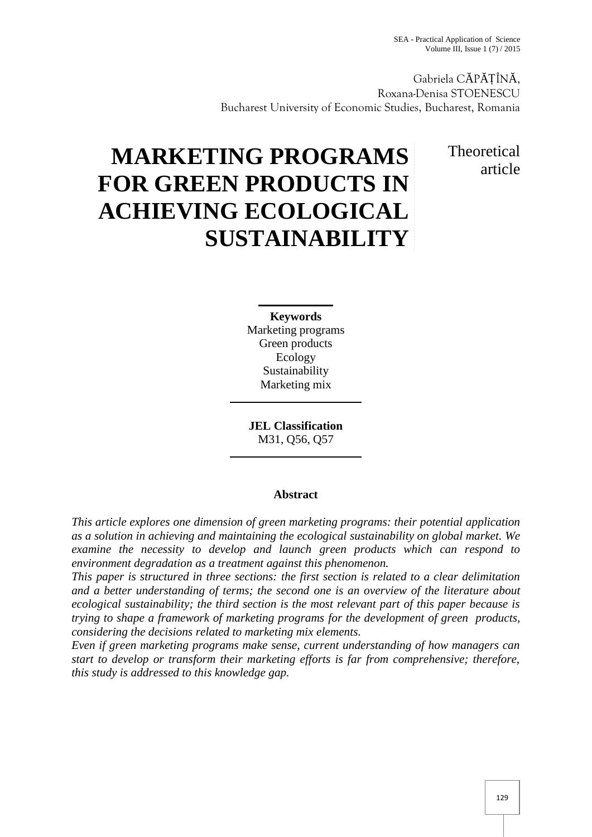Gabriela C P ȚÎN , Roxana-Denisa STOENESCU Bucharest University of Economic Studies, Bucharest, Romania

# Theoretical article

# **MARKETING PROGRAMS FOR GREEN PRODUCTS IN ACHIEVING ECOLOGICAL SUSTAINABILITY**

**Keywords** Marketing programs Green products Ecology Sustainability Marketing mix

**JEL Classification** M31, Q56, Q57

## **Abstract**

*This article explores one dimension of green marketing programs: their potential application as a solution in achieving and maintaining the ecological sustainability on global market. We examine the necessity to develop and launch green products which can respond to environment degradation as a treatment against this phenomenon.*

*This paper is structured in three sections: the first section is related to a clear delimitation and a better understanding of terms; the second one is an overview of the literature about ecological sustainability; the third section is the most relevant part of this paper because is trying to shape a framework of marketing programs for the development of green products, considering the decisions related to marketing mix elements.*

*Even if green marketing programs make sense, current understanding of how managers can start to develop or transform their marketing efforts is far from comprehensive; therefore, this study is addressed to this knowledge gap.*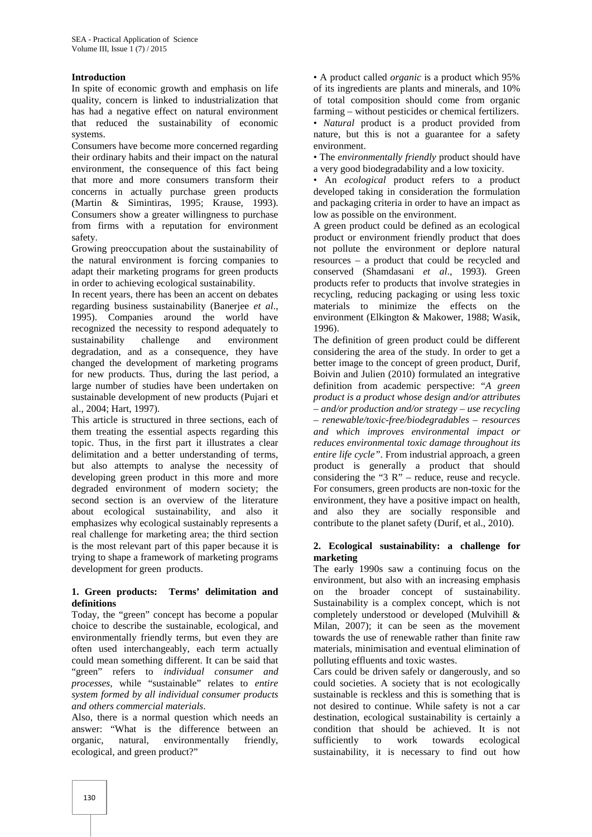#### **Introduction**

In spite of economic growth and emphasis on life quality, concern is linked to industrialization that has had a negative effect on natural environment that reduced the sustainability of economic systems.

Consumers have become more concerned regarding their ordinary habits and their impact on the natural environment, the consequence of this fact being that more and more consumers transform their concerns in actually purchase green products (Martin & Simintiras, 1995; Krause, 1993). Consumers show a greater willingness to purchase from firms with a reputation for environment safety.

Growing preoccupation about the sustainability of the natural environment is forcing companies to adapt their marketing programs for green products in order to achieving ecological sustainability.

In recent years, there has been an accent on debates regarding business sustainability (Banerjee *et al*., 1995). Companies around the world have recognized the necessity to respond adequately to sustainability challenge and environment degradation, and as a consequence, they have changed the development of marketing programs for new products. Thus, during the last period, a large number of studies have been undertaken on sustainable development of new products (Pujari et al., 2004; Hart, 1997).

This article is structured in three sections, each of them treating the essential aspects regarding this topic. Thus, in the first part it illustrates a clear delimitation and a better understanding of terms, but also attempts to analyse the necessity of developing green product in this more and more degraded environment of modern society; the second section is an overview of the literature about ecological sustainability, and also it emphasizes why ecological sustainably represents a real challenge for marketing area; the third section is the most relevant part of this paper because it is trying to shape a framework of marketing programs development for green products.

#### **1. Green products: Terms' delimitation and definitions**

Today, the "green" concept has become a popular choice to describe the sustainable, ecological, and environmentally friendly terms, but even they are often used interchangeably, each term actually could mean something different. It can be said that "green" refers to *individual consumer and processes*, while "sustainable" relates to *entire system formed by all individual consumer products and others commercial materials*.

Also, there is a normal question which needs an answer: "What is the difference between an organic, natural, environmentally friendly, ecological, and green product?"

• A product called *organic* is a product which 95% of its ingredients are plants and minerals, and 10% of total composition should come from organic farming – without pesticides or chemical fertilizers. • *Natural* product is a product provided from nature, but this is not a guarantee for a safety environment.

• The *environmentally friendly* product should have a very good biodegradability and a low toxicity.

• An *ecological* product refers to a product developed taking in consideration the formulation and packaging criteria in order to have an impact as low as possible on the environment.

A green product could be defined as an ecological product or environment friendly product that does not pollute the environment or deplore natural resources – a product that could be recycled and conserved (Shamdasani *et al*., 1993). Green products refer to products that involve strategies in recycling, reducing packaging or using less toxic materials to minimize the effects on the environment (Elkington & Makower, 1988; Wasik, 1996).

The definition of green product could be different considering the area of the study. In order to get a better image to the concept of green product, Durif, Boivin and Julien (2010) formulated an integrative definition from academic perspective: "*A green product is a product whose design and/or attributes – and/or production and/or strategy – use recycling – renewable/toxic-free/biodegradables – resources and which improves environmental impact or reduces environmental toxic damage throughout its entire life cycle"*. From industrial approach, a green product is generally a product that should considering the " $3 R$ " – reduce, reuse and recycle. For consumers, green products are non-toxic for the environment, they have a positive impact on health, and also they are socially responsible and contribute to the planet safety (Durif, et al., 2010).

#### **2. Ecological sustainability: a challenge for marketing**

The early 1990s saw a continuing focus on the environment, but also with an increasing emphasis on the broader concept of sustainability. Sustainability is a complex concept, which is not completely understood or developed (Mulvihill & Milan, 2007); it can be seen as the movement towards the use of renewable rather than finite raw materials, minimisation and eventual elimination of polluting effluents and toxic wastes.

Cars could be driven safely or dangerously, and so could societies. A society that is not ecologically sustainable is reckless and this is something that is not desired to continue. While safety is not a car destination, ecological sustainability is certainly a condition that should be achieved. It is not sufficiently to work towards ecological sustainability, it is necessary to find out how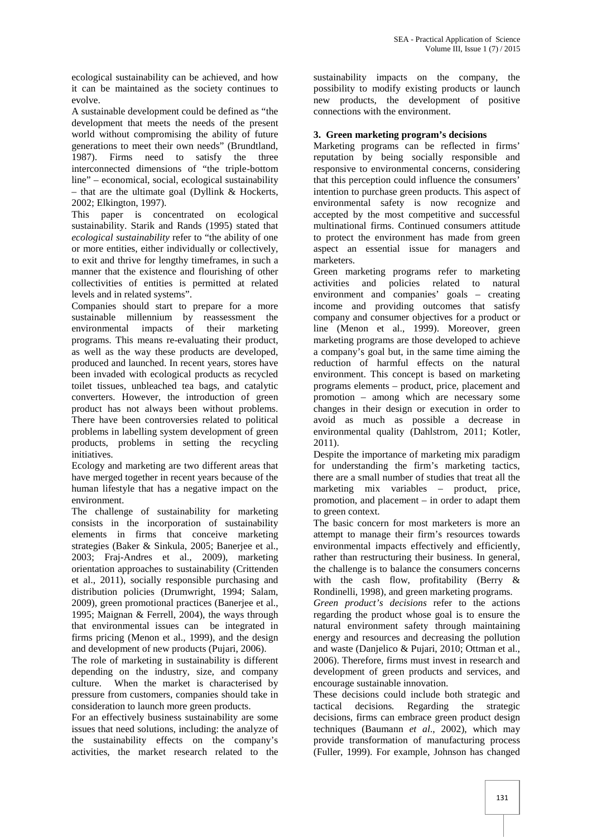ecological sustainability can be achieved, and how it can be maintained as the society continues to evolve.

A sustainable development could be defined as "the development that meets the needs of the present world without compromising the ability of future generations to meet their own needs" (Brundtland, 1987). Firms need to satisfy the three Firms need to satisfy the three interconnected dimensions of "the triple-bottom line" – economical, social, ecological sustainability – that are the ultimate goal (Dyllink & Hockerts, 2002; Elkington, 1997).

This paper is concentrated on ecological sustainability. Starik and Rands (1995) stated that *ecological sustainability* refer to "the ability of one or more entities, either individually or collectively, to exit and thrive for lengthy timeframes, in such a manner that the existence and flourishing of other collectivities of entities is permitted at related levels and in related systems".

Companies should start to prepare for a more sustainable millennium by reassessment the environmental impacts of their marketing programs. This means re-evaluating their product, as well as the way these products are developed, produced and launched. In recent years, stores have been invaded with ecological products as recycled toilet tissues, unbleached tea bags, and catalytic converters. However, the introduction of green product has not always been without problems. There have been controversies related to political problems in labelling system development of green products, problems in setting the recycling initiatives.

Ecology and marketing are two different areas that have merged together in recent years because of the human lifestyle that has a negative impact on the environment.

The challenge of sustainability for marketing consists in the incorporation of sustainability elements in firms that conceive marketing strategies (Baker & Sinkula, 2005; Banerjee et al., 2003; Fraj-Andres et al., 2009), marketing orientation approaches to sustainability (Crittenden et al., 2011), socially responsible purchasing and distribution policies (Drumwright, 1994; Salam, 2009), green promotional practices (Banerjee et al., 1995; Maignan & Ferrell, 2004), the ways through that environmental issues can be integrated in firms pricing (Menon et al., 1999), and the design and development of new products (Pujari, 2006).

The role of marketing in sustainability is different depending on the industry, size, and company culture. When the market is characterised by pressure from customers, companies should take in consideration to launch more green products.

For an effectively business sustainability are some issues that need solutions, including: the analyze of the sustainability effects on the company's activities, the market research related to the

sustainability impacts on the company, the possibility to modify existing products or launch new products, the development of positive connections with the environment.

#### **3. Green marketing program's decisions**

Marketing programs can be reflected in firms' reputation by being socially responsible and responsive to environmental concerns, considering that this perception could influence the consumers' intention to purchase green products. This aspect of environmental safety is now recognize and accepted by the most competitive and successful multinational firms. Continued consumers attitude to protect the environment has made from green aspect an essential issue for managers and marketers.

Green marketing programs refer to marketing activities and policies related to natural environment and companies' goals – creating income and providing outcomes that satisfy company and consumer objectives for a product or line (Menon et al., 1999). Moreover, green marketing programs are those developed to achieve a company's goal but, in the same time aiming the reduction of harmful effects on the natural environment. This concept is based on marketing programs elements – product, price, placement and promotion – among which are necessary some changes in their design or execution in order to avoid as much as possible a decrease in environmental quality (Dahlstrom, 2011; Kotler, 2011).

Despite the importance of marketing mix paradigm for understanding the firm's marketing tactics, there are a small number of studies that treat all the marketing mix variables – product, price, promotion, and placement – in order to adapt them to green context.

The basic concern for most marketers is more an attempt to manage their firm's resources towards environmental impacts effectively and efficiently, rather than restructuring their business. In general, the challenge is to balance the consumers concerns with the cash flow, profitability (Berry & Rondinelli, 1998), and green marketing programs.

*Green product's decisions* refer to the actions regarding the product whose goal is to ensure the natural environment safety through maintaining energy and resources and decreasing the pollution and waste (Danjelico & Pujari, 2010; Ottman et al., 2006). Therefore, firms must invest in research and development of green products and services, and encourage sustainable innovation.

These decisions could include both strategic and tactical decisions*.* Regarding the strategic decisions, firms can embrace green product design techniques (Baumann *et al*., 2002), which may provide transformation of manufacturing process (Fuller, 1999). For example, Johnson has changed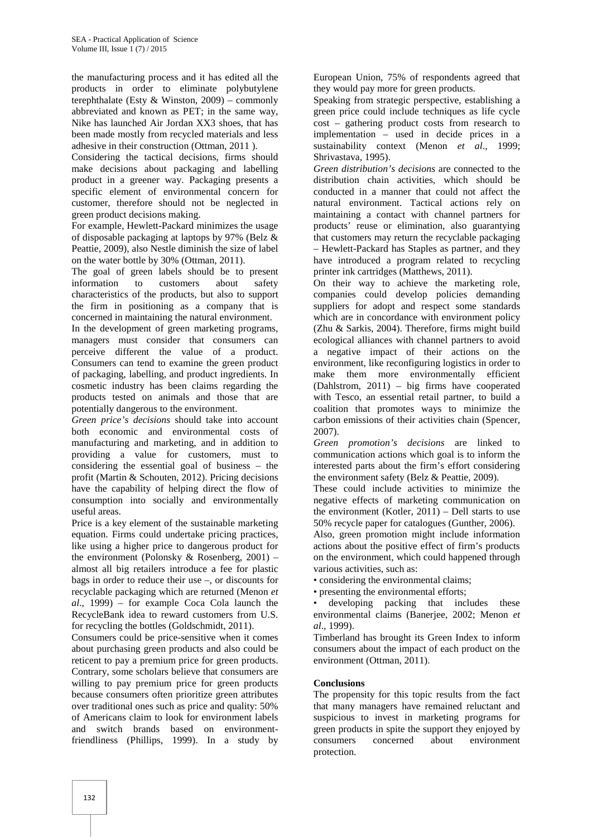the manufacturing process and it has edited all the products in order to eliminate polybutylene terephthalate (Esty  $& Winston, 2009$ ) – commonly abbreviated and known as PET; in the same way, Nike has launched Air Jordan XX3 shoes, that has been made mostly from recycled materials and less adhesive in their construction (Ottman, 2011 ).

Considering the tactical decisions, firms should make decisions about packaging and labelling product in a greener way. Packaging presents a specific element of environmental concern for customer, therefore should not be neglected in green product decisions making.

For example, Hewlett-Packard minimizes the usage of disposable packaging at laptops by 97% (Belz & Peattie, 2009), also Nestle diminish the size of label on the water bottle by 30% (Ottman, 2011).

The goal of green labels should be to present information to customers about safety characteristics of the products, but also to support the firm in positioning as a company that is concerned in maintaining the natural environment.

In the development of green marketing programs, managers must consider that consumers can perceive different the value of a product. Consumers can tend to examine the green product of packaging, labelling, and product ingredients. In cosmetic industry has been claims regarding the products tested on animals and those that are potentially dangerous to the environment.

*Green price's decisions* should take into account both economic and environmental costs of manufacturing and marketing, and in addition to providing a value for customers, must to considering the essential goal of business – the profit (Martin & Schouten, 2012). Pricing decisions have the capability of helping direct the flow of consumption into socially and environmentally useful areas.

Price is a key element of the sustainable marketing equation. Firms could undertake pricing practices, like using a higher price to dangerous product for the environment (Polonsky & Rosenberg,  $2001$ ) – almost all big retailers introduce a fee for plastic bags in order to reduce their use –, or discounts for recyclable packaging which are returned (Menon *et al*., 1999) – for example Coca Cola launch the RecycleBank idea to reward customers from U.S. for recycling the bottles (Goldschmidt, 2011).

Consumers could be price-sensitive when it comes about purchasing green products and also could be reticent to pay a premium price for green products. Contrary, some scholars believe that consumers are willing to pay premium price for green products because consumers often prioritize green attributes over traditional ones such as price and quality: 50% of Americans claim to look for environment labels and switch brands based on environmentfriendliness (Phillips, 1999). In a study by consumers

European Union, 75% of respondents agreed that they would pay more for green products.

Speaking from strategic perspective, establishing a green price could include techniques as life cycle cost – gathering product costs from research to implementation – used in decide prices in a sustainability context (Menon *et al*., 1999; Shrivastava, 1995).

*Green distribution's decisions* are connected to the distribution chain activities, which should be conducted in a manner that could not affect the natural environment. Tactical actions rely on maintaining a contact with channel partners for products' reuse or elimination, also guarantying that customers may return the recyclable packaging – Hewlett-Packard has Staples as partner, and they have introduced a program related to recycling printer ink cartridges (Matthews, 2011).

On their way to achieve the marketing role, companies could develop policies demanding suppliers for adopt and respect some standards which are in concordance with environment policy (Zhu & Sarkis, 2004). Therefore, firms might build ecological alliances with channel partners to avoid a negative impact of their actions on the environment, like reconfiguring logistics in order to make them more environmentally efficient (Dahlstrom, 2011) – big firms have cooperated with Tesco, an essential retail partner, to build a coalition that promotes ways to minimize the carbon emissions of their activities chain (Spencer, 2007).

*Green promotion's decisions* are linked to communication actions which goal is to inform the interested parts about the firm's effort considering the environment safety (Belz & Peattie, 2009).

These could include activities to minimize the negative effects of marketing communication on the environment (Kotler,  $2011$ ) – Dell starts to use 50% recycle paper for catalogues (Gunther, 2006).

Also, green promotion might include information actions about the positive effect of firm's products on the environment, which could happened through various activities, such as:

• considering the environmental claims;

• presenting the environmental efforts;

developing packing that includes these environmental claims (Banerjee, 2002; Menon *et al*., 1999).

Timberland has brought its Green Index to inform consumers about the impact of each product on the environment (Ottman, 2011).

#### **Conclusions**

The propensity for this topic results from the fact that many managers have remained reluctant and suspicious to invest in marketing programs for green products in spite the support they enjoyed by concerned about environment protection.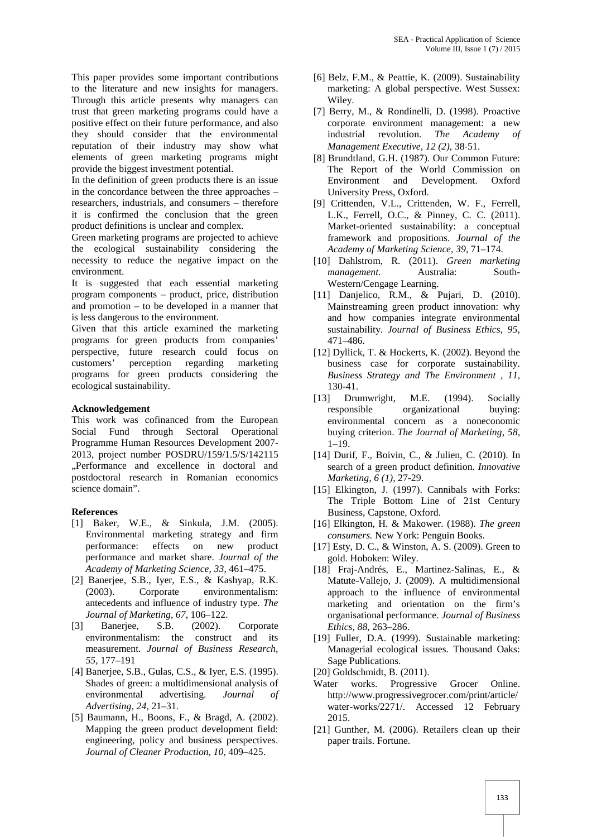This paper provides some important contributions to the literature and new insights for managers. Through this article presents why managers can trust that green marketing programs could have a positive effect on their future performance, and also they should consider that the environmental reputation of their industry may show what elements of green marketing programs might provide the biggest investment potential.

In the definition of green products there is an issue in the concordance between the three approaches – researchers, industrials, and consumers – therefore it is confirmed the conclusion that the green product definitions is unclear and complex.

Green marketing programs are projected to achieve the ecological sustainability considering the necessity to reduce the negative impact on the environment.

It is suggested that each essential marketing program components – product, price, distribution and promotion – to be developed in a manner that is less dangerous to the environment.

Given that this article examined the marketing programs for green products from companies' perspective, future research could focus on customers' perception regarding marketing programs for green products considering the ecological sustainability.

#### **Acknowledgement**

This work was cofinanced from the European Social Fund through Sectoral Operational Programme Human Resources Development 2007- 2013, project number POSDRU/159/1.5/S/142115 "Performance and excellence in doctoral and postdoctoral research in Romanian economics science domain".

### **References**

- [1] Baker, W.E., & Sinkula, J.M. (2005). Environmental marketing strategy and firm performance: effects on new product performance and market share. *Journal of the Academy of Marketing Science, 33*, 461–475.
- [2] Banerjee, S.B., Iyer, E.S., & Kashyap, R.K. (2003). Corporate environmentalism: antecedents and influence of industry type. *The Journal of Marketing, 67*, 106–122.
- [3] Baneriee, S.B. (2002). Corporate environmentalism: the construct and its measurement. *Journal of Business Research, 55*, 177–191
- [4] Banerjee, S.B., Gulas, C.S., & Iyer, E.S. (1995). Shades of green: a multidimensional analysis of environmental advertising. *Journal of Advertising, 24*, 21–31.
- [5] Baumann, H., Boons, F., & Bragd, A. (2002). Mapping the green product development field: engineering, policy and business perspectives. *Journal of Cleaner Production, 10,* 409–425.
- [6] Belz, F.M., & Peattie, K. (2009). Sustainability marketing: A global perspective. West Sussex: Wiley.
- [7] Berry, M., & Rondinelli, D. (1998). Proactive corporate environment management: a new industrial revolution. *The Academy of Management Executive, 12 (2)*, 38‐51.
- [8] Brundtland, G.H. (1987). Our Common Future: The Report of the World Commission on Environment and Development. Oxford University Press, Oxford.
- [9] Crittenden, V.L., Crittenden, W. F., Ferrell, L.K., Ferrell, O.C., & Pinney, C. C. (2011). Market-oriented sustainability: a conceptual framework and propositions. *Journal of the Academy of Marketing Science, 39,* 71–174.
- [10] Dahlstrom, R. (2011). *Green marketing management.* Australia: South- Western/Cengage Learning.
- [11] Danjelico, R.M., & Pujari, D. (2010). Mainstreaming green product innovation: why and how companies integrate environmental sustainability. *Journal of Business Ethics, 95*, 471–486.
- [12] Dyllick, T. & Hockerts, K. (2002). Beyond the business case for corporate sustainability. *Business Strategy and The Environment , 11*, 130-41.
- [13] Drumwright, M.E. (1994). Socially responsible organizational buying: environmental concern as a noneconomic buying criterion. *The Journal of Marketing, 58*, 1–19.
- [14] Durif, F., Boivin, C., & Julien, C. (2010). In search of a green product definition. *Innovative Marketing, 6 (1),* 27-29.
- [15] Elkington, J. (1997). Cannibals with Forks: The Triple Bottom Line of 21st Century Business, Capstone, Oxford.
- [16] Elkington, H. & Makower. (1988). *The green consumers.* New York: Penguin Books.
- [17] Esty, D. C., & Winston, A. S. (2009). Green to gold. Hoboken: Wiley.
- [18] Fraj-Andrés, E., Martinez-Salinas, E., & Matute-Vallejo, J. (2009). A multidimensional approach to the influence of environmental marketing and orientation on the firm's organisational performance. *Journal of Business Ethics, 88*, 263–286.
- [19] Fuller, D.A. (1999). Sustainable marketing: Managerial ecological issues. Thousand Oaks: Sage Publications.
- [20] Goldschmidt, B. (2011).
- Water works. Progressive Grocer Online. http://www.progressivegrocer.com/print/article/ water-works/2271/. Accessed 12 February 2015.
- [21] Gunther, M. (2006). Retailers clean up their paper trails. Fortune.